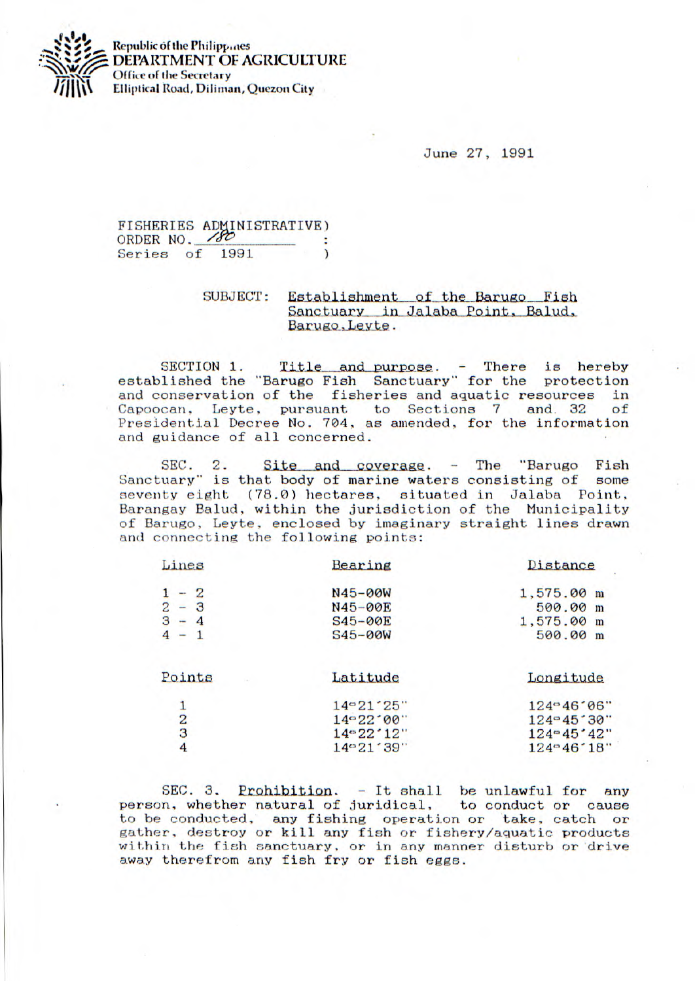

**Republic of the Philippines DEPARTMENT OF AGRICULTURE Office of the Secretary Elliptical Road, Diliman, Quezon City** 

June 27, 1991

FISHERIES ADMINISTRATIVE)<br>ORDER NO. 2001 Series of 1991 (1991)

## SUBJECT: Establishment of the Barugo Fish<br>Sanctuary in Jalaba Point, Balud, Barugo, Leyte.

SECTION 1. Title and purpose. - There is hereby<br>lished the "Barugo Fish Sanctuary" for the protection established the "Barugo Fish Sanctuary" for the and conservation of the fisheries and aquatic resources in Capoocan, Leyte, pursuant to Sections 7 and 32 of Capoocan. Leyte, pursuant to Sections 7 and. 32 of Presidential Decree No. 704, as amended, for the information and guidance of all concerned.

SEC. 2. Site and coverage.  $-$  The "Barugo Fish uary" is that body of marine waters consisting of some Sanctuary" is that body of marine waters consisting of seventy eight (78.0) hectares, situated in Jalaba Point, Barangay Balud, within the jurisdiction of the Municipality of Barugo, Leyte, enclosed by imaginary straight lines drawn and connecting the following points:

| Lines         | Bearing       | Distance            |
|---------------|---------------|---------------------|
| $-2$          | N45-00W       | 1,575.00 m          |
| $2 - 3$       | N45-00E       | 500.00 m            |
| $3 - 4$       | $S45 - 00E$   | 1,575.00 m          |
| $4 - 1$       | $S45 - 00W$   | 500.00 m            |
| Points        | Latitude      | Longitude           |
|               | 14 ~ 21 - 25" | 124-46'06"          |
| $\frac{1}{2}$ | 14°22°00"     | $124 - 45.30$ "     |
|               | 14°22'12"     | $124 - 45 \cdot 42$ |
| 4             | 14°21'39"     | $124 - 46.18$       |
|               |               |                     |

SEC. 3. Prohibition.  $-$  It shall be unlawful for any n, whether natural of juridical, to conduct or cause person, whether natural of juridical, to he conducted, any fishing operation or take, catch or gather, destroy or kill any fish or fishery/aquatic products within the fish sanctuary, or in any manner disturb or drive away therefrom any fish fry or fish eggs.